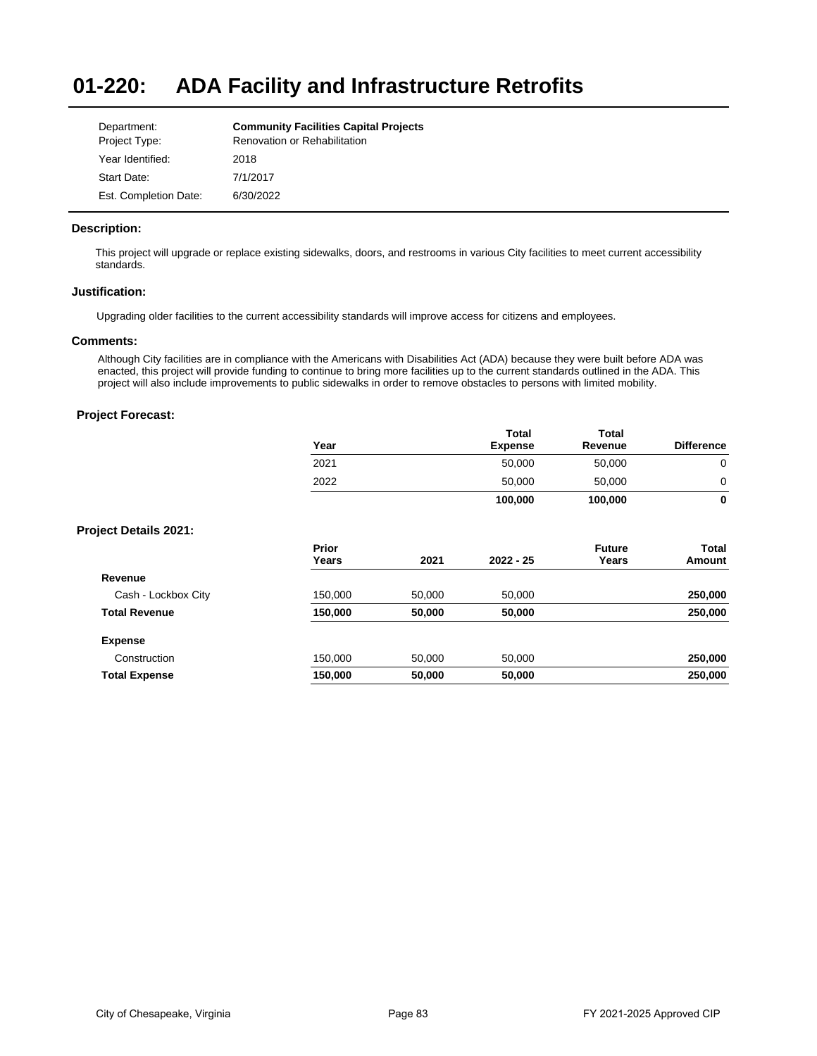#### **01-220: ADA Facility and Infrastructure Retrofits**

| Department:           | <b>Community Facilities Capital Projects</b> |
|-----------------------|----------------------------------------------|
| Project Type:         | Renovation or Rehabilitation                 |
| Year Identified:      | 2018                                         |
| Start Date:           | 7/1/2017                                     |
| Est. Completion Date: | 6/30/2022                                    |

# **Description:**

This project will upgrade or replace existing sidewalks, doors, and restrooms in various City facilities to meet current accessibility standards.

## **Justification:**

Upgrading older facilities to the current accessibility standards will improve access for citizens and employees.

#### **Comments:**

Although City facilities are in compliance with the Americans with Disabilities Act (ADA) because they were built before ADA was enacted, this project will provide funding to continue to bring more facilities up to the current standards outlined in the ADA. This project will also include improvements to public sidewalks in order to remove obstacles to persons with limited mobility.

|                              | Year           |        | <b>Total</b><br><b>Expense</b> | Total<br>Revenue       | <b>Difference</b> |
|------------------------------|----------------|--------|--------------------------------|------------------------|-------------------|
|                              | 2021           |        | 50,000                         | 50,000                 | $\mathbf 0$       |
|                              | 2022           |        | 50,000                         | 50,000                 | 0                 |
|                              |                |        | 100,000                        | 100,000                | 0                 |
| <b>Project Details 2021:</b> |                |        |                                |                        |                   |
|                              | Prior<br>Years | 2021   | $2022 - 25$                    | <b>Future</b><br>Years | Total             |
|                              |                |        |                                |                        | Amount            |
| Revenue                      |                |        |                                |                        |                   |
| Cash - Lockbox City          | 150,000        | 50,000 | 50,000                         |                        | 250,000           |
| <b>Total Revenue</b>         | 150,000        | 50,000 | 50,000                         |                        | 250,000           |
| <b>Expense</b>               |                |        |                                |                        |                   |
| Construction                 | 150,000        | 50,000 | 50,000                         |                        | 250,000           |
| <b>Total Expense</b>         | 150,000        | 50,000 | 50,000                         |                        | 250,000           |
|                              |                |        |                                |                        |                   |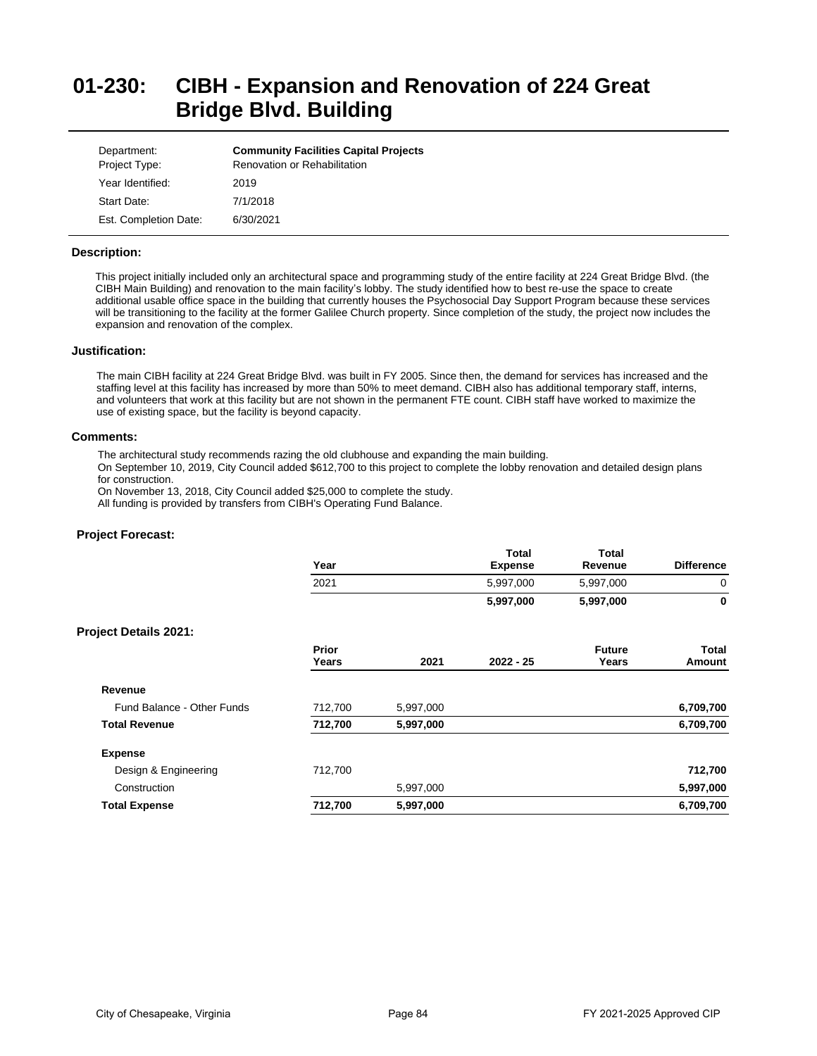# **01-230: CIBH - Expansion and Renovation of 224 Great Bridge Blvd. Building**

| Department:           | <b>Community Facilities Capital Projects</b> |
|-----------------------|----------------------------------------------|
| Project Type:         | <b>Renovation or Rehabilitation</b>          |
| Year Identified:      | 2019                                         |
| Start Date:           | 7/1/2018                                     |
| Est. Completion Date: | 6/30/2021                                    |

#### **Description:**

This project initially included only an architectural space and programming study of the entire facility at 224 Great Bridge Blvd. (the CIBH Main Building) and renovation to the main facility's lobby. The study identified how to best re-use the space to create additional usable office space in the building that currently houses the Psychosocial Day Support Program because these services will be transitioning to the facility at the former Galilee Church property. Since completion of the study, the project now includes the expansion and renovation of the complex.

#### **Justification:**

The main CIBH facility at 224 Great Bridge Blvd. was built in FY 2005. Since then, the demand for services has increased and the staffing level at this facility has increased by more than 50% to meet demand. CIBH also has additional temporary staff, interns, and volunteers that work at this facility but are not shown in the permanent FTE count. CIBH staff have worked to maximize the use of existing space, but the facility is beyond capacity.

#### **Comments:**

The architectural study recommends razing the old clubhouse and expanding the main building.

On September 10, 2019, City Council added \$612,700 to this project to complete the lobby renovation and detailed design plans for construction.

On November 13, 2018, City Council added \$25,000 to complete the study.

All funding is provided by transfers from CIBH's Operating Fund Balance.

| Year           |           | <b>Total</b><br><b>Expense</b> | <b>Total</b><br>Revenue | <b>Difference</b> |
|----------------|-----------|--------------------------------|-------------------------|-------------------|
| 2021           |           | 5,997,000                      | 5,997,000               | 0                 |
|                |           | 5,997,000                      | 5,997,000               | $\bf{0}$          |
|                |           |                                |                         |                   |
| Prior<br>Years | 2021      | $2022 - 25$                    | <b>Future</b><br>Years  | Total<br>Amount   |
|                |           |                                |                         |                   |
| 712,700        | 5,997,000 |                                |                         | 6,709,700         |
| 712,700        | 5,997,000 |                                |                         | 6,709,700         |
|                |           |                                |                         |                   |
| 712,700        |           |                                |                         | 712,700           |
|                | 5,997,000 |                                |                         | 5,997,000         |
| 712,700        | 5,997,000 |                                |                         | 6,709,700         |
|                |           |                                |                         |                   |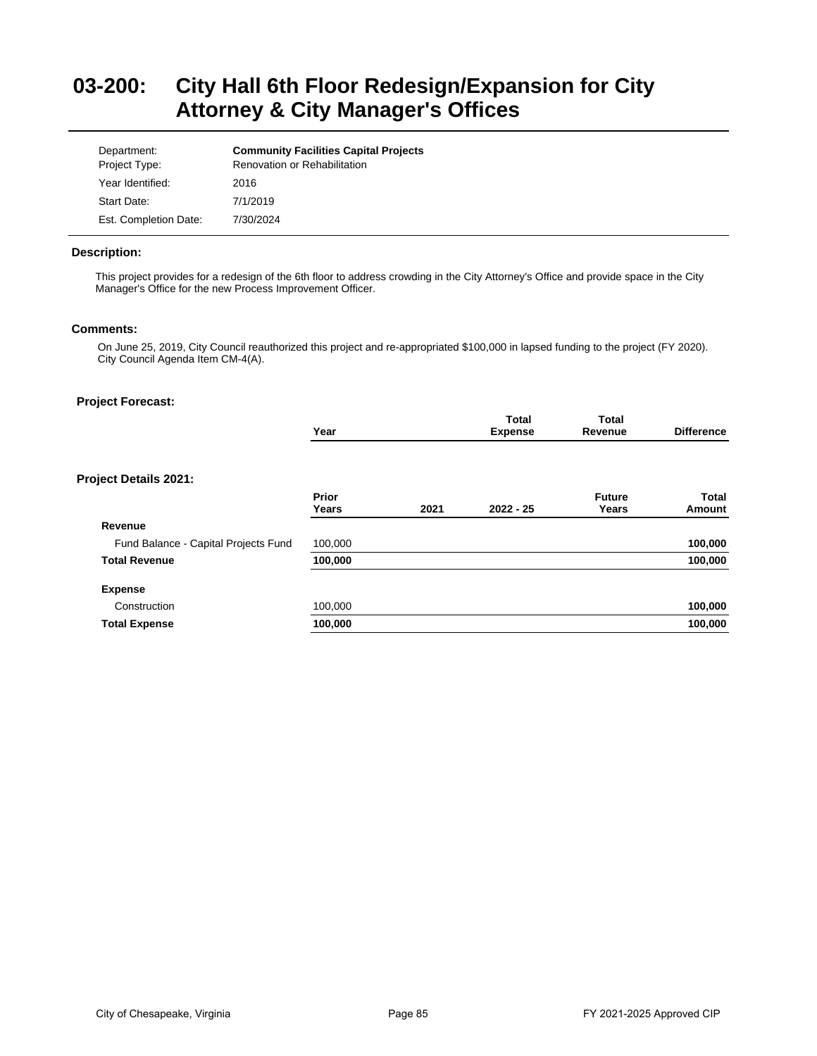# **03-200: City Hall 6th Floor Redesign/Expansion for City Attorney & City Manager's Offices**

| Department:<br>Project Type: | <b>Community Facilities Capital Projects</b><br><b>Renovation or Rehabilitation</b> |
|------------------------------|-------------------------------------------------------------------------------------|
| Year Identified:             | 2016                                                                                |
| Start Date:                  | 7/1/2019                                                                            |
| Est. Completion Date:        | 7/30/2024                                                                           |

# **Description:**

This project provides for a redesign of the 6th floor to address crowding in the City Attorney's Office and provide space in the City Manager's Office for the new Process Improvement Officer.

# **Comments:**

On June 25, 2019, City Council reauthorized this project and re-appropriated \$100,000 in lapsed funding to the project (FY 2020). City Council Agenda Item CM-4(A).

|                                      | Year           |      | <b>Total</b><br><b>Expense</b> | <b>Total</b><br>Revenue | <b>Difference</b> |
|--------------------------------------|----------------|------|--------------------------------|-------------------------|-------------------|
| Project Details 2021:                |                |      |                                |                         |                   |
|                                      | Prior<br>Years | 2021 | $2022 - 25$                    | <b>Future</b><br>Years  | Total<br>Amount   |
| Revenue                              |                |      |                                |                         |                   |
| Fund Balance - Capital Projects Fund | 100,000        |      |                                |                         | 100,000           |
| <b>Total Revenue</b>                 | 100,000        |      |                                |                         | 100,000           |
| <b>Expense</b>                       |                |      |                                |                         |                   |
| Construction                         | 100,000        |      |                                |                         | 100,000           |
| <b>Total Expense</b>                 | 100,000        |      |                                |                         | 100,000           |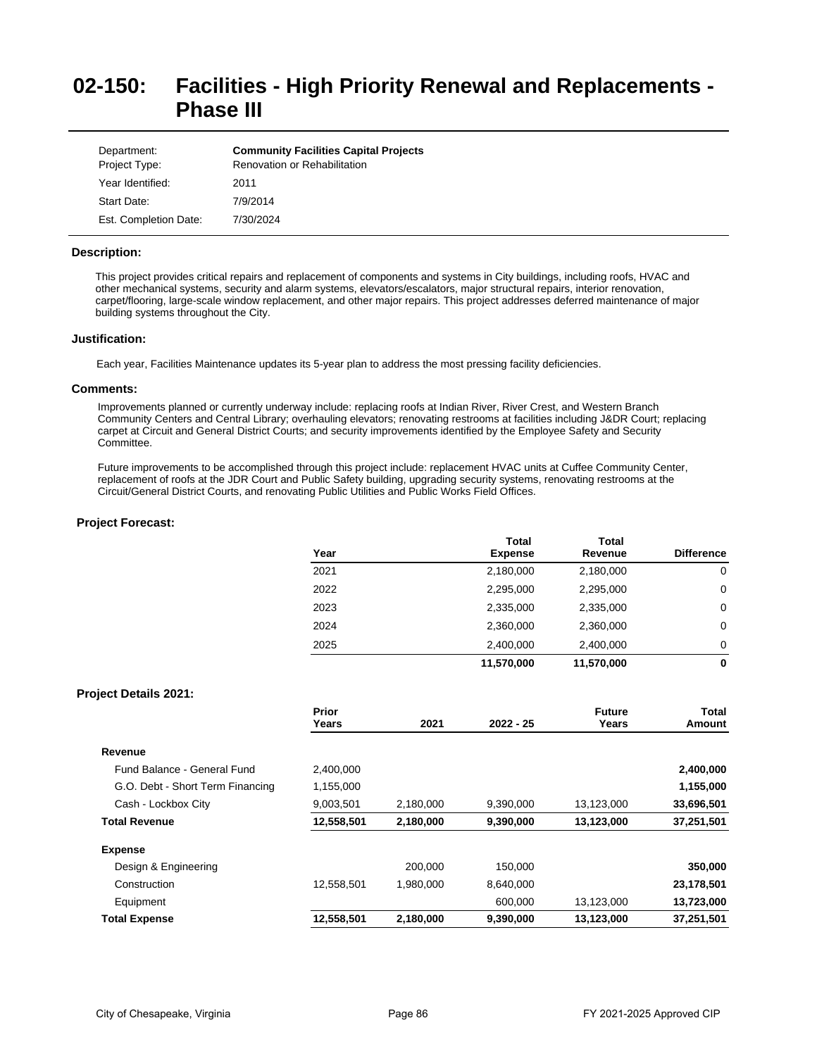# **02-150: Facilities - High Priority Renewal and Replacements - Phase III**

| Department:<br>Project Type: | <b>Community Facilities Capital Projects</b><br><b>Renovation or Rehabilitation</b> |
|------------------------------|-------------------------------------------------------------------------------------|
| Year Identified:             | 2011                                                                                |
| Start Date:                  | 7/9/2014                                                                            |
| Est. Completion Date:        | 7/30/2024                                                                           |

#### **Description:**

This project provides critical repairs and replacement of components and systems in City buildings, including roofs, HVAC and other mechanical systems, security and alarm systems, elevators/escalators, major structural repairs, interior renovation, carpet/flooring, large-scale window replacement, and other major repairs. This project addresses deferred maintenance of major building systems throughout the City.

#### **Justification:**

Each year, Facilities Maintenance updates its 5-year plan to address the most pressing facility deficiencies.

#### **Comments:**

Improvements planned or currently underway include: replacing roofs at Indian River, River Crest, and Western Branch Community Centers and Central Library; overhauling elevators; renovating restrooms at facilities including J&DR Court; replacing carpet at Circuit and General District Courts; and security improvements identified by the Employee Safety and Security Committee.

Future improvements to be accomplished through this project include: replacement HVAC units at Cuffee Community Center, replacement of roofs at the JDR Court and Public Safety building, upgrading security systems, renovating restrooms at the Circuit/General District Courts, and renovating Public Utilities and Public Works Field Offices.

# **Project Forecast:**

| Year | <b>Total</b><br><b>Expense</b> | Total<br>Revenue | <b>Difference</b> |
|------|--------------------------------|------------------|-------------------|
| 2021 | 2,180,000                      | 2,180,000        | 0                 |
| 2022 | 2,295,000                      | 2,295,000        | 0                 |
| 2023 | 2,335,000                      | 2,335,000        | 0                 |
| 2024 | 2,360,000                      | 2,360,000        | 0                 |
| 2025 | 2,400,000                      | 2,400,000        | 0                 |
|      | 11,570,000                     | 11,570,000       | 0                 |

## **Project Details 2021:**

|                                  | Prior<br>Years | 2021      | $2022 - 25$ | <b>Future</b><br>Years | Total<br>Amount |
|----------------------------------|----------------|-----------|-------------|------------------------|-----------------|
| Revenue                          |                |           |             |                        |                 |
| Fund Balance - General Fund      | 2.400.000      |           |             |                        | 2,400,000       |
| G.O. Debt - Short Term Financing | 1,155,000      |           |             |                        | 1,155,000       |
| Cash - Lockbox City              | 9,003,501      | 2,180,000 | 9,390,000   | 13,123,000             | 33,696,501      |
| <b>Total Revenue</b>             | 12,558,501     | 2,180,000 | 9,390,000   | 13,123,000             | 37,251,501      |
| <b>Expense</b>                   |                |           |             |                        |                 |
| Design & Engineering             |                | 200.000   | 150.000     |                        | 350,000         |
| Construction                     | 12,558,501     | 1,980,000 | 8.640.000   |                        | 23,178,501      |
| Equipment                        |                |           | 600,000     | 13,123,000             | 13,723,000      |
| <b>Total Expense</b>             | 12,558,501     | 2,180,000 | 9,390,000   | 13,123,000             | 37,251,501      |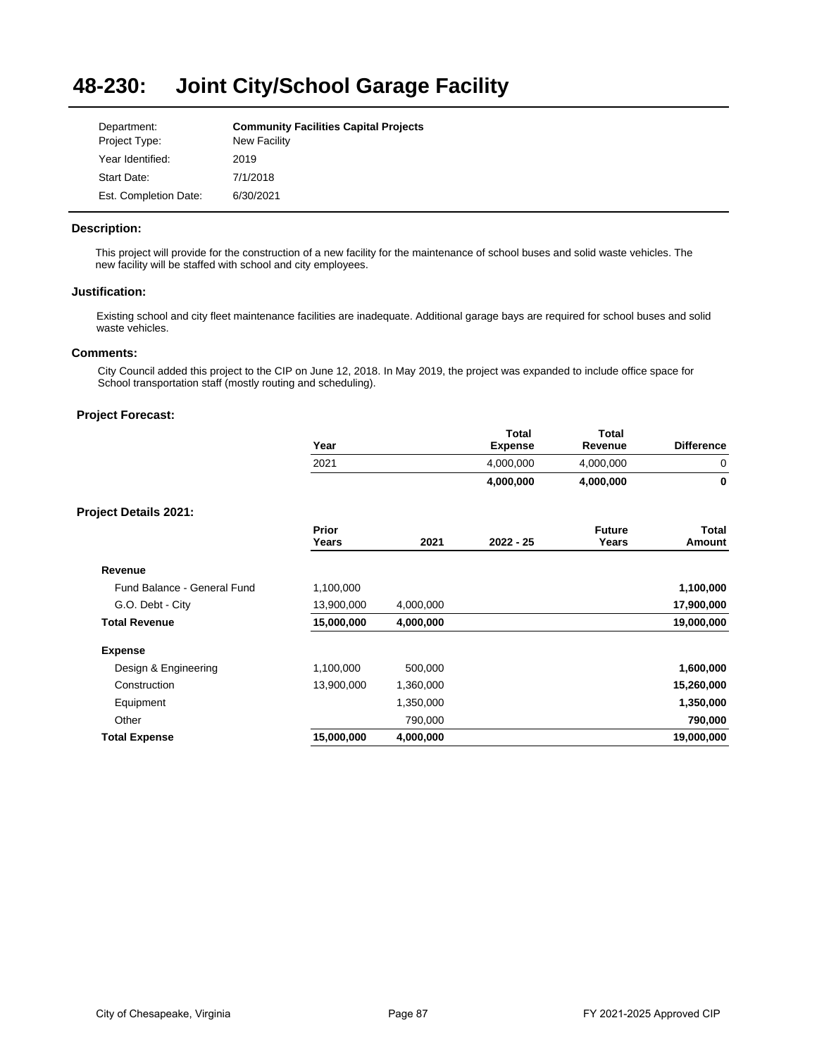#### **48-230: Joint City/School Garage Facility**

| Department:           | <b>Community Facilities Capital Projects</b> |
|-----------------------|----------------------------------------------|
| Project Type:         | New Facility                                 |
| Year Identified:      | 2019                                         |
| Start Date:           | 7/1/2018                                     |
| Est. Completion Date: | 6/30/2021                                    |

# **Description:**

This project will provide for the construction of a new facility for the maintenance of school buses and solid waste vehicles. The new facility will be staffed with school and city employees.

#### **Justification:**

Existing school and city fleet maintenance facilities are inadequate. Additional garage bays are required for school buses and solid waste vehicles.

# **Comments:**

City Council added this project to the CIP on June 12, 2018. In May 2019, the project was expanded to include office space for School transportation staff (mostly routing and scheduling).

|                              | Year           |           | <b>Total</b><br><b>Expense</b> | <b>Total</b><br>Revenue | <b>Difference</b>      |
|------------------------------|----------------|-----------|--------------------------------|-------------------------|------------------------|
|                              | 2021           |           | 4,000,000                      | 4,000,000               | 0                      |
|                              |                |           | 4,000,000                      | 4,000,000               | 0                      |
| <b>Project Details 2021:</b> |                |           |                                |                         |                        |
|                              | Prior<br>Years | 2021      | $2022 - 25$                    | <b>Future</b><br>Years  | <b>Total</b><br>Amount |
| Revenue                      |                |           |                                |                         |                        |
| Fund Balance - General Fund  | 1,100,000      |           |                                |                         | 1,100,000              |
| G.O. Debt - City             | 13,900,000     | 4,000,000 |                                |                         | 17,900,000             |
| <b>Total Revenue</b>         | 15,000,000     | 4,000,000 |                                |                         | 19,000,000             |
| <b>Expense</b>               |                |           |                                |                         |                        |
| Design & Engineering         | 1,100,000      | 500,000   |                                |                         | 1,600,000              |
| Construction                 | 13,900,000     | 1,360,000 |                                |                         | 15,260,000             |
| Equipment                    |                | 1,350,000 |                                |                         | 1,350,000              |
| Other                        |                | 790,000   |                                |                         | 790,000                |
| <b>Total Expense</b>         | 15,000,000     | 4,000,000 |                                |                         | 19,000,000             |
|                              |                |           |                                |                         |                        |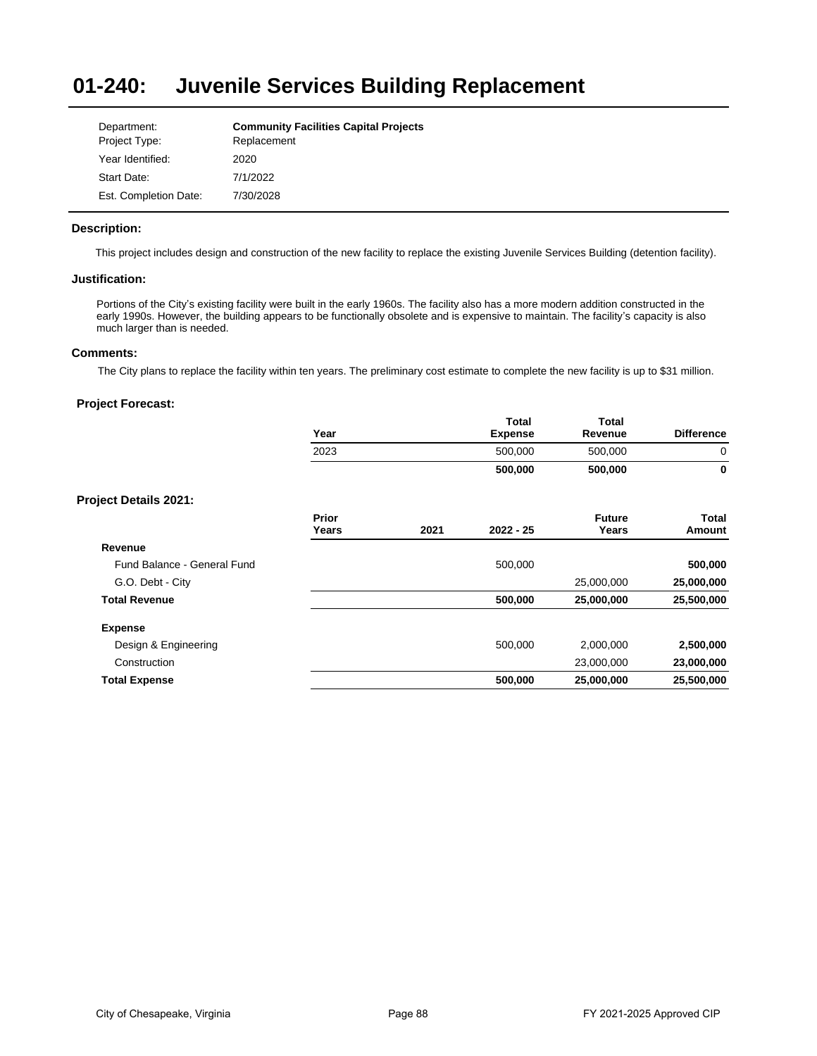#### **01-240: Juvenile Services Building Replacement**

| Department:           | <b>Community Facilities Capital Projects</b> |
|-----------------------|----------------------------------------------|
| Project Type:         | Replacement                                  |
| Year Identified:      | 2020                                         |
| Start Date:           | 7/1/2022                                     |
| Est. Completion Date: | 7/30/2028                                    |

# **Description:**

This project includes design and construction of the new facility to replace the existing Juvenile Services Building (detention facility).

# **Justification:**

Portions of the City's existing facility were built in the early 1960s. The facility also has a more modern addition constructed in the early 1990s. However, the building appears to be functionally obsolete and is expensive to maintain. The facility's capacity is also much larger than is needed.

# **Comments:**

The City plans to replace the facility within ten years. The preliminary cost estimate to complete the new facility is up to \$31 million.

|                              | Year           |      | Total<br><b>Expense</b> | <b>Total</b><br>Revenue | <b>Difference</b>             |
|------------------------------|----------------|------|-------------------------|-------------------------|-------------------------------|
|                              | 2023           |      | 500,000                 | 500,000                 | $\mathbf 0$                   |
|                              |                |      | 500,000                 | 500,000                 | $\mathbf 0$                   |
| <b>Project Details 2021:</b> |                |      |                         |                         |                               |
|                              | Prior<br>Years | 2021 | $2022 - 25$             | <b>Future</b><br>Years  | <b>Total</b><br><b>Amount</b> |
| Revenue                      |                |      |                         |                         |                               |
| Fund Balance - General Fund  |                |      | 500,000                 |                         | 500,000                       |
| G.O. Debt - City             |                |      |                         | 25,000,000              | 25,000,000                    |
| <b>Total Revenue</b>         |                |      | 500,000                 | 25,000,000              | 25,500,000                    |
| <b>Expense</b>               |                |      |                         |                         |                               |
| Design & Engineering         |                |      | 500,000                 | 2,000,000               | 2,500,000                     |
| Construction                 |                |      |                         | 23,000,000              | 23,000,000                    |
| <b>Total Expense</b>         |                |      | 500,000                 | 25,000,000              | 25,500,000                    |
|                              |                |      |                         |                         |                               |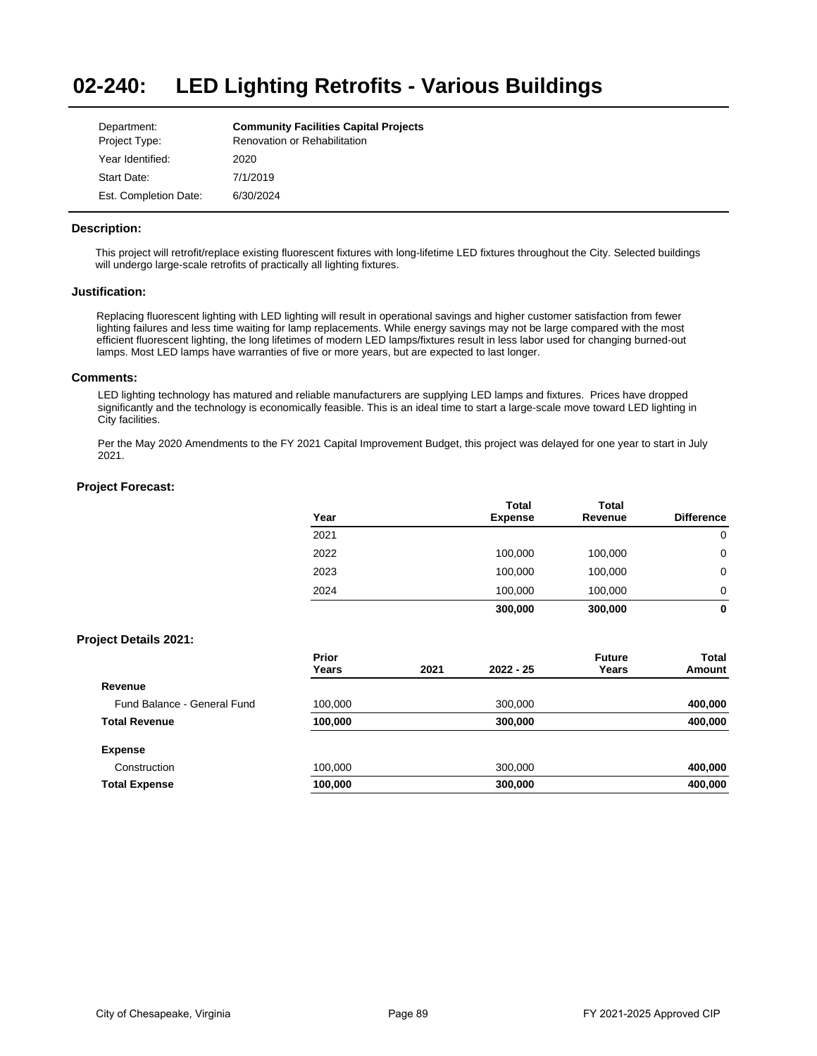#### **02-240: LED Lighting Retrofits - Various Buildings**

| Department:           | <b>Community Facilities Capital Projects</b> |
|-----------------------|----------------------------------------------|
| Project Type:         | Renovation or Rehabilitation                 |
| Year Identified:      | 2020                                         |
| Start Date:           | 7/1/2019                                     |
| Est. Completion Date: | 6/30/2024                                    |

# **Description:**

This project will retrofit/replace existing fluorescent fixtures with long-lifetime LED fixtures throughout the City. Selected buildings will undergo large-scale retrofits of practically all lighting fixtures.

#### **Justification:**

Replacing fluorescent lighting with LED lighting will result in operational savings and higher customer satisfaction from fewer lighting failures and less time waiting for lamp replacements. While energy savings may not be large compared with the most efficient fluorescent lighting, the long lifetimes of modern LED lamps/fixtures result in less labor used for changing burned-out lamps. Most LED lamps have warranties of five or more years, but are expected to last longer.

## **Comments:**

LED lighting technology has matured and reliable manufacturers are supplying LED lamps and fixtures. Prices have dropped significantly and the technology is economically feasible. This is an ideal time to start a large-scale move toward LED lighting in City facilities.

Per the May 2020 Amendments to the FY 2021 Capital Improvement Budget, this project was delayed for one year to start in July 2021.

## **Project Forecast:**

| Year | <b>Total</b><br><b>Expense</b> | <b>Total</b><br>Revenue | <b>Difference</b> |
|------|--------------------------------|-------------------------|-------------------|
| 2021 |                                |                         | 0                 |
| 2022 | 100,000                        | 100,000                 | 0                 |
| 2023 | 100,000                        | 100,000                 | 0                 |
| 2024 | 100,000                        | 100,000                 | 0                 |
|      | 300,000                        | 300,000                 | 0                 |

## **Project Details 2021:**

|                             | Prior<br>Years | 2021 | $2022 - 25$ | <b>Future</b><br>Years | Total<br>Amount |
|-----------------------------|----------------|------|-------------|------------------------|-----------------|
| Revenue                     |                |      |             |                        |                 |
| Fund Balance - General Fund | 100,000        |      | 300,000     |                        | 400,000         |
| <b>Total Revenue</b>        | 100,000        |      | 300,000     |                        | 400,000         |
| <b>Expense</b>              |                |      |             |                        |                 |
| Construction                | 100,000        |      | 300,000     |                        | 400,000         |
| <b>Total Expense</b>        | 100,000        |      | 300,000     |                        | 400,000         |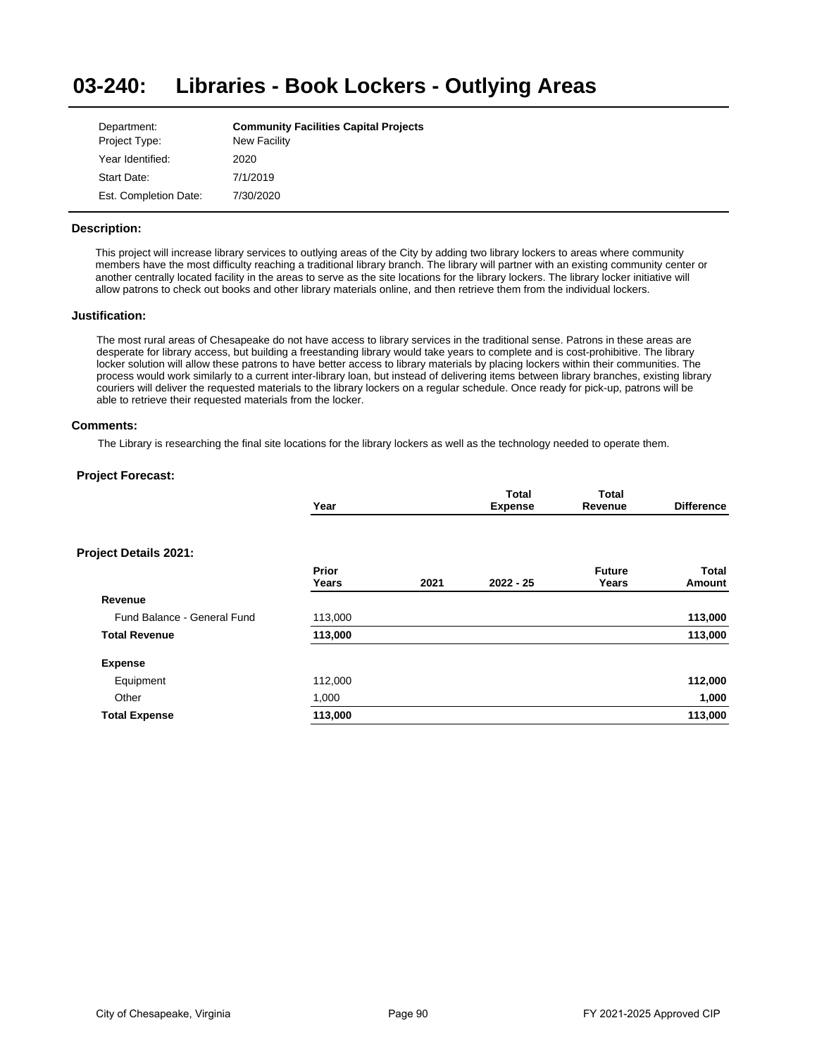#### **03-240: Libraries - Book Lockers - Outlying Areas**

| Department:           | <b>Community Facilities Capital Projects</b> |
|-----------------------|----------------------------------------------|
| Project Type:         | New Facility                                 |
| Year Identified:      | 2020                                         |
| Start Date:           | 7/1/2019                                     |
| Est. Completion Date: | 7/30/2020                                    |

# **Description:**

This project will increase library services to outlying areas of the City by adding two library lockers to areas where community members have the most difficulty reaching a traditional library branch. The library will partner with an existing community center or another centrally located facility in the areas to serve as the site locations for the library lockers. The library locker initiative will allow patrons to check out books and other library materials online, and then retrieve them from the individual lockers.

## **Justification:**

The most rural areas of Chesapeake do not have access to library services in the traditional sense. Patrons in these areas are desperate for library access, but building a freestanding library would take years to complete and is cost-prohibitive. The library locker solution will allow these patrons to have better access to library materials by placing lockers within their communities. The process would work similarly to a current inter-library loan, but instead of delivering items between library branches, existing library couriers will deliver the requested materials to the library lockers on a regular schedule. Once ready for pick-up, patrons will be able to retrieve their requested materials from the locker.

## **Comments:**

The Library is researching the final site locations for the library lockers as well as the technology needed to operate them.

| Year           |      | <b>Total</b><br><b>Expense</b> | Total<br>Revenue       | <b>Difference</b>      |
|----------------|------|--------------------------------|------------------------|------------------------|
|                |      |                                |                        |                        |
| Prior<br>Years | 2021 | $2022 - 25$                    | <b>Future</b><br>Years | <b>Total</b><br>Amount |
|                |      |                                |                        |                        |
| 113,000        |      |                                |                        | 113,000                |
| 113,000        |      |                                |                        | 113,000                |
|                |      |                                |                        |                        |
| 112,000        |      |                                |                        | 112,000                |
| 1,000          |      |                                |                        | 1,000                  |
| 113,000        |      |                                |                        | 113,000                |
|                |      |                                |                        |                        |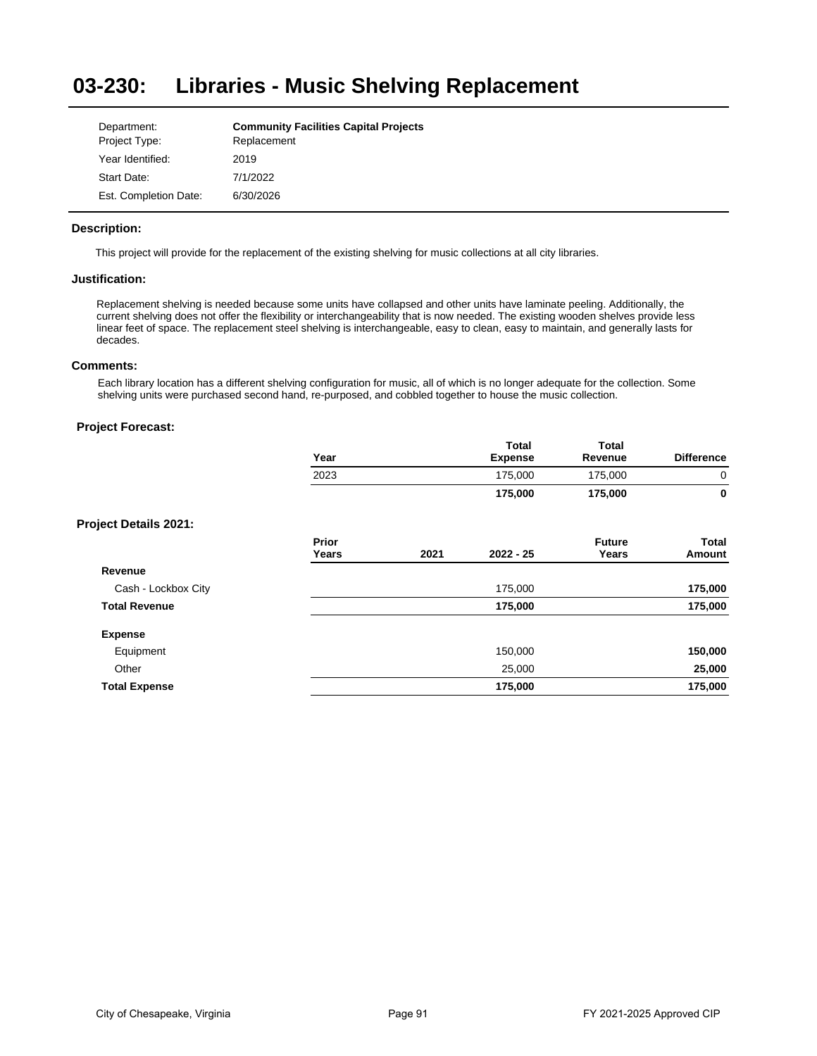#### **03-230: Libraries - Music Shelving Replacement**

| Department:           | <b>Community Facilities Capital Projects</b> |
|-----------------------|----------------------------------------------|
| Project Type:         | Replacement                                  |
| Year Identified:      | 2019                                         |
| Start Date:           | 7/1/2022                                     |
| Est. Completion Date: | 6/30/2026                                    |

# **Description:**

This project will provide for the replacement of the existing shelving for music collections at all city libraries.

# **Justification:**

Replacement shelving is needed because some units have collapsed and other units have laminate peeling. Additionally, the current shelving does not offer the flexibility or interchangeability that is now needed. The existing wooden shelves provide less linear feet of space. The replacement steel shelving is interchangeable, easy to clean, easy to maintain, and generally lasts for decades.

## **Comments:**

Each library location has a different shelving configuration for music, all of which is no longer adequate for the collection. Some shelving units were purchased second hand, re-purposed, and cobbled together to house the music collection.

|                              | Year<br>2023 | <b>Total</b>   | <b>Total</b><br>Revenue<br>175,000 |                   |
|------------------------------|--------------|----------------|------------------------------------|-------------------|
|                              |              | <b>Expense</b> |                                    | <b>Difference</b> |
|                              |              | 175,000        |                                    | 0                 |
|                              |              | 175,000        | 175.000                            | 0                 |
| <b>Project Details 2021:</b> |              |                |                                    |                   |

|                      | <b>Prior</b><br>Years | 2021 | $2022 - 25$ | <b>Future</b><br>Years | <b>Total</b><br>Amount |
|----------------------|-----------------------|------|-------------|------------------------|------------------------|
| Revenue              |                       |      |             |                        |                        |
| Cash - Lockbox City  |                       |      | 175,000     |                        | 175,000                |
| <b>Total Revenue</b> |                       |      | 175,000     |                        | 175,000                |
| <b>Expense</b>       |                       |      |             |                        |                        |
| Equipment            |                       |      | 150,000     |                        | 150,000                |
| Other                |                       |      | 25,000      |                        | 25,000                 |
| <b>Total Expense</b> |                       |      | 175,000     |                        | 175,000                |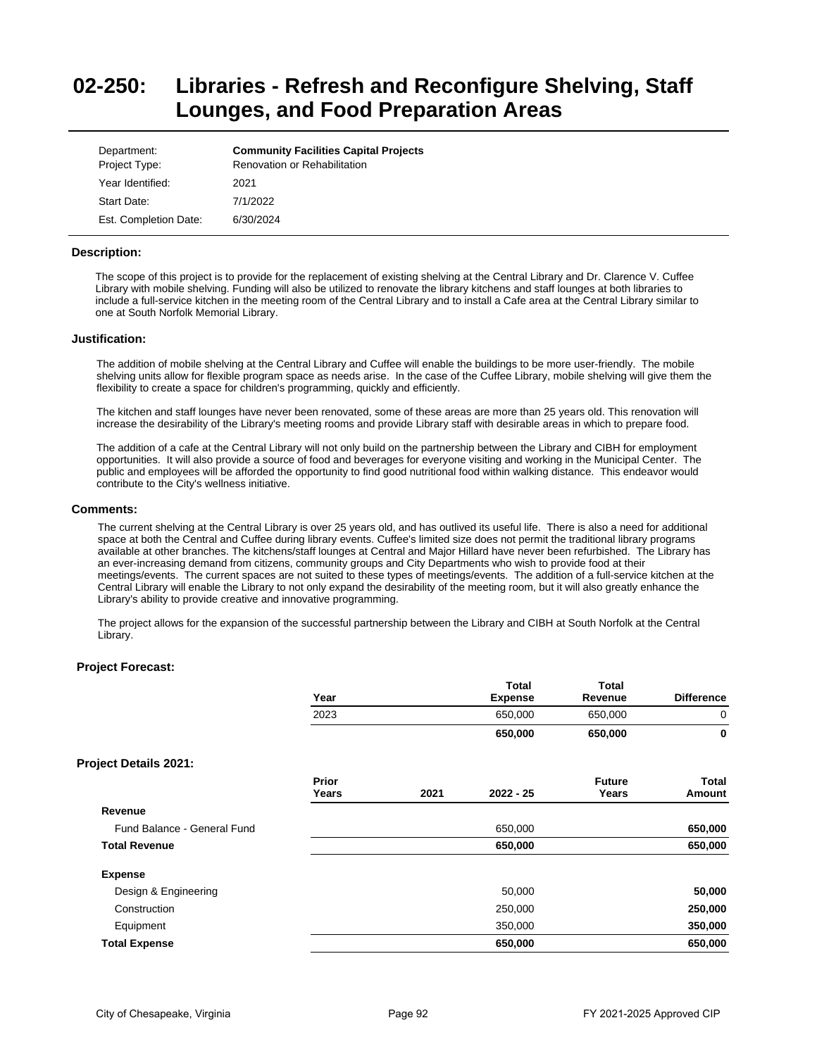# **02-250: Libraries - Refresh and Reconfigure Shelving, Staff Lounges, and Food Preparation Areas**

| Department:<br>Project Type: | <b>Community Facilities Capital Projects</b><br>Renovation or Rehabilitation |
|------------------------------|------------------------------------------------------------------------------|
| Year Identified:             | 2021                                                                         |
| Start Date:                  | 7/1/2022                                                                     |
| Est. Completion Date:        | 6/30/2024                                                                    |

#### **Description:**

The scope of this project is to provide for the replacement of existing shelving at the Central Library and Dr. Clarence V. Cuffee Library with mobile shelving. Funding will also be utilized to renovate the library kitchens and staff lounges at both libraries to include a full-service kitchen in the meeting room of the Central Library and to install a Cafe area at the Central Library similar to one at South Norfolk Memorial Library.

#### **Justification:**

The addition of mobile shelving at the Central Library and Cuffee will enable the buildings to be more user-friendly. The mobile shelving units allow for flexible program space as needs arise. In the case of the Cuffee Library, mobile shelving will give them the flexibility to create a space for children's programming, quickly and efficiently.

The kitchen and staff lounges have never been renovated, some of these areas are more than 25 years old. This renovation will increase the desirability of the Library's meeting rooms and provide Library staff with desirable areas in which to prepare food.

The addition of a cafe at the Central Library will not only build on the partnership between the Library and CIBH for employment opportunities. It will also provide a source of food and beverages for everyone visiting and working in the Municipal Center. The public and employees will be afforded the opportunity to find good nutritional food within walking distance. This endeavor would contribute to the City's wellness initiative.

#### **Comments:**

The current shelving at the Central Library is over 25 years old, and has outlived its useful life. There is also a need for additional space at both the Central and Cuffee during library events. Cuffee's limited size does not permit the traditional library programs available at other branches. The kitchens/staff lounges at Central and Major Hillard have never been refurbished. The Library has an ever-increasing demand from citizens, community groups and City Departments who wish to provide food at their meetings/events. The current spaces are not suited to these types of meetings/events. The addition of a full-service kitchen at the Central Library will enable the Library to not only expand the desirability of the meeting room, but it will also greatly enhance the Library's ability to provide creative and innovative programming.

The project allows for the expansion of the successful partnership between the Library and CIBH at South Norfolk at the Central Library.

**Total** 

**Total** 

|                              | Year           |      | l otal<br><b>Expense</b> | l otal<br>Revenue      | <b>Difference</b>      |
|------------------------------|----------------|------|--------------------------|------------------------|------------------------|
|                              | 2023           |      | 650,000                  | 650,000                | 0                      |
|                              |                |      | 650,000                  | 650,000                | 0                      |
| <b>Project Details 2021:</b> |                |      |                          |                        |                        |
|                              | Prior<br>Years | 2021 | $2022 - 25$              | <b>Future</b><br>Years | <b>Total</b><br>Amount |
| Revenue                      |                |      |                          |                        |                        |
| Fund Balance - General Fund  |                |      | 650,000                  |                        | 650,000                |
| <b>Total Revenue</b>         |                |      | 650,000                  |                        | 650,000                |
| <b>Expense</b>               |                |      |                          |                        |                        |
| Design & Engineering         |                |      | 50,000                   |                        | 50,000                 |
| Construction                 |                |      | 250,000                  |                        | 250,000                |
| Equipment                    |                |      | 350,000                  |                        | 350,000                |
| <b>Total Expense</b>         |                |      | 650,000                  |                        | 650,000                |
|                              |                |      |                          |                        |                        |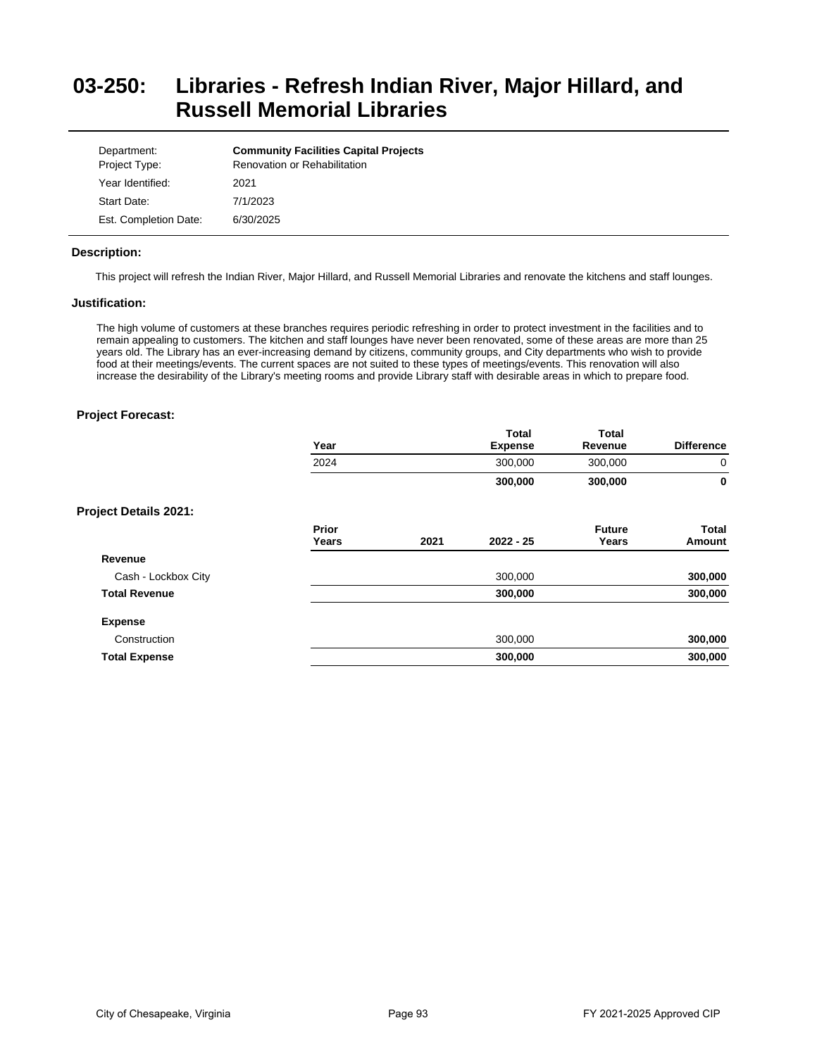# **03-250: Libraries - Refresh Indian River, Major Hillard, and Russell Memorial Libraries**

| Department:<br>Project Type: | <b>Community Facilities Capital Projects</b><br><b>Renovation or Rehabilitation</b> |
|------------------------------|-------------------------------------------------------------------------------------|
| Year Identified:             | 2021                                                                                |
| Start Date:                  | 7/1/2023                                                                            |
| Est. Completion Date:        | 6/30/2025                                                                           |

# **Description:**

This project will refresh the Indian River, Major Hillard, and Russell Memorial Libraries and renovate the kitchens and staff lounges.

## **Justification:**

The high volume of customers at these branches requires periodic refreshing in order to protect investment in the facilities and to remain appealing to customers. The kitchen and staff lounges have never been renovated, some of these areas are more than 25 years old. The Library has an ever-increasing demand by citizens, community groups, and City departments who wish to provide food at their meetings/events. The current spaces are not suited to these types of meetings/events. This renovation will also increase the desirability of the Library's meeting rooms and provide Library staff with desirable areas in which to prepare food.

|                              | Year           |      | <b>Total</b><br><b>Expense</b> | <b>Total</b><br>Revenue | <b>Difference</b> |
|------------------------------|----------------|------|--------------------------------|-------------------------|-------------------|
|                              | 2024           |      | 300,000                        | 300,000                 | 0                 |
|                              |                |      | 300,000                        | 300,000                 | 0                 |
| <b>Project Details 2021:</b> |                |      |                                |                         |                   |
|                              | Prior<br>Years | 2021 | $2022 - 25$                    | <b>Future</b><br>Years  | Total<br>Amount   |
| Revenue                      |                |      |                                |                         |                   |
| Cash - Lockbox City          |                |      | 300,000                        |                         | 300,000           |
| <b>Total Revenue</b>         |                |      | 300,000                        |                         | 300,000           |
| <b>Expense</b>               |                |      |                                |                         |                   |
| Construction                 |                |      | 300,000                        |                         | 300,000           |
| <b>Total Expense</b>         |                |      | 300,000                        |                         | 300,000           |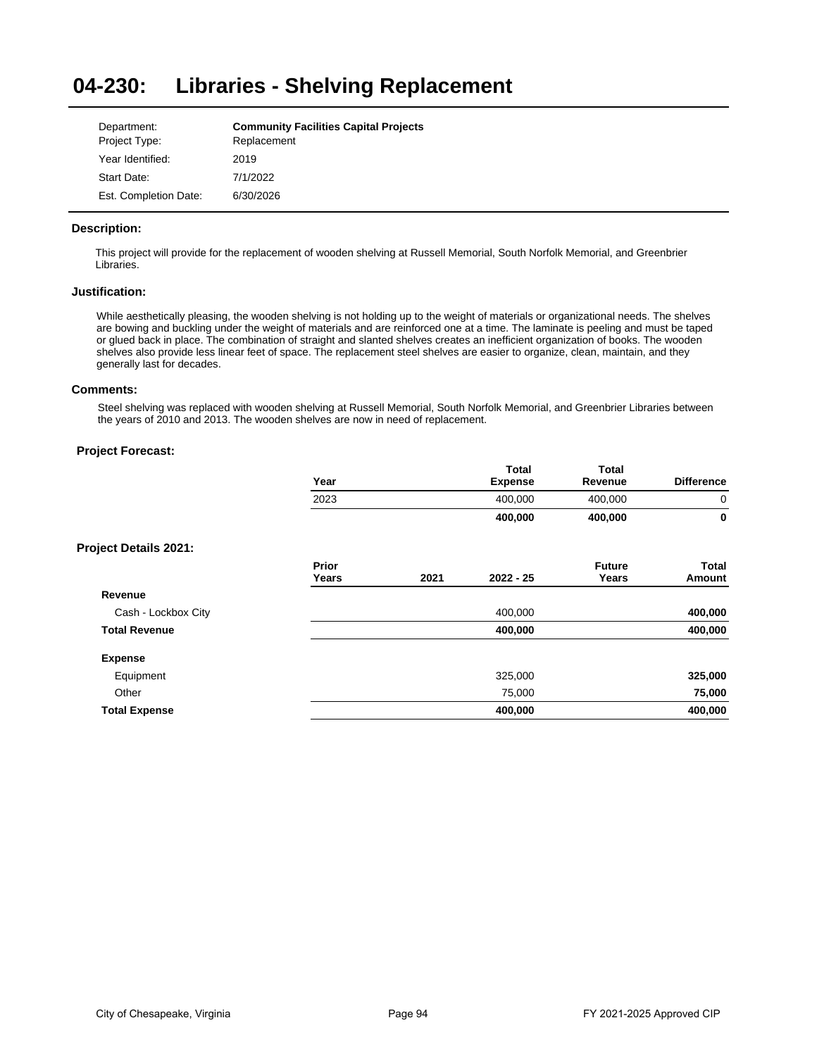#### **04-230: Libraries - Shelving Replacement**

| Department:           | <b>Community Facilities Capital Projects</b> |
|-----------------------|----------------------------------------------|
| Project Type:         | Replacement                                  |
| Year Identified:      | 2019                                         |
| Start Date:           | 7/1/2022                                     |
| Est. Completion Date: | 6/30/2026                                    |

# **Description:**

This project will provide for the replacement of wooden shelving at Russell Memorial, South Norfolk Memorial, and Greenbrier Libraries.

#### **Justification:**

While aesthetically pleasing, the wooden shelving is not holding up to the weight of materials or organizational needs. The shelves are bowing and buckling under the weight of materials and are reinforced one at a time. The laminate is peeling and must be taped or glued back in place. The combination of straight and slanted shelves creates an inefficient organization of books. The wooden shelves also provide less linear feet of space. The replacement steel shelves are easier to organize, clean, maintain, and they generally last for decades.

#### **Comments:**

Steel shelving was replaced with wooden shelving at Russell Memorial, South Norfolk Memorial, and Greenbrier Libraries between the years of 2010 and 2013. The wooden shelves are now in need of replacement.

|                              | Year           |      | <b>Total</b><br><b>Expense</b> | <b>Total</b><br>Revenue | <b>Difference</b> |
|------------------------------|----------------|------|--------------------------------|-------------------------|-------------------|
|                              | 2023           |      | 400,000                        | 400,000                 | 0                 |
|                              |                |      | 400,000                        | 400,000                 | 0                 |
| <b>Project Details 2021:</b> |                |      |                                |                         |                   |
|                              | Prior<br>Years | 2021 | $2022 - 25$                    | <b>Future</b><br>Years  | Total<br>Amount   |
| Revenue                      |                |      |                                |                         |                   |
| Cash - Lockbox City          |                |      | 400,000                        |                         | 400,000           |
| <b>Total Revenue</b>         |                |      | 400,000                        |                         | 400,000           |
| <b>Expense</b>               |                |      |                                |                         |                   |
| Equipment                    |                |      | 325,000                        |                         | 325,000           |
| Other                        |                |      | 75,000                         |                         | 75,000            |
| <b>Total Expense</b>         |                |      | 400,000                        |                         | 400,000           |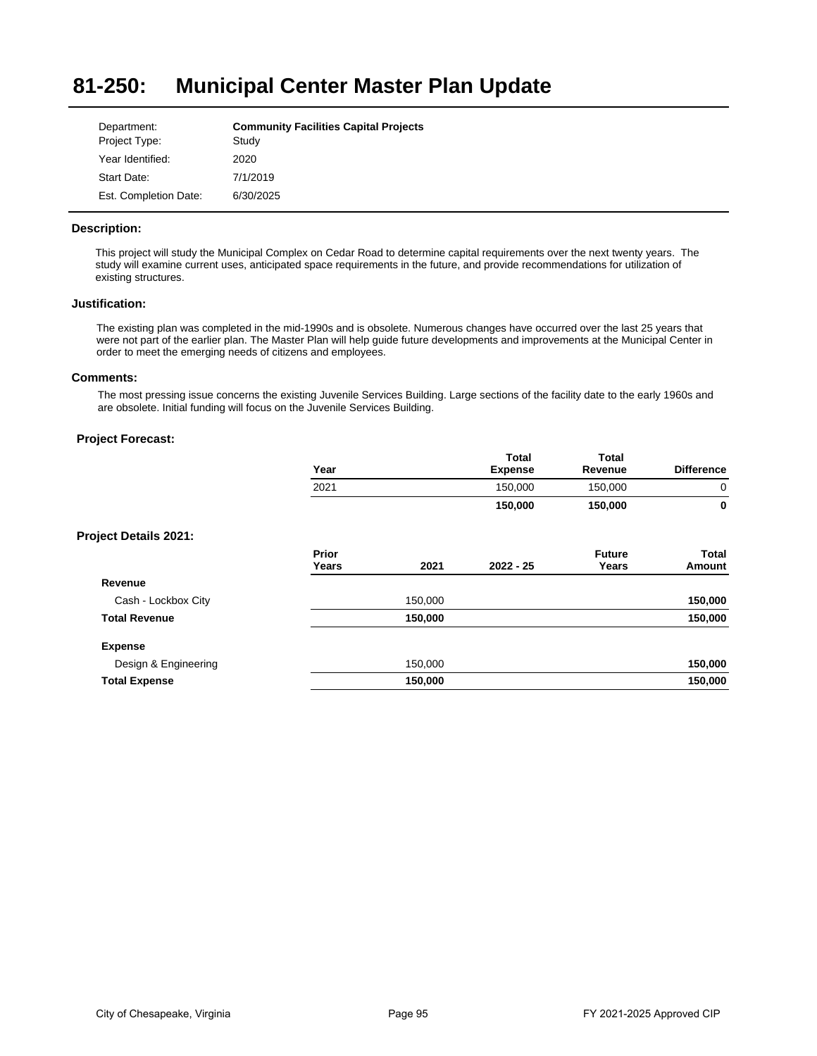#### **81-250: Municipal Center Master Plan Update**

| Department:           | <b>Community Facilities Capital Projects</b> |
|-----------------------|----------------------------------------------|
| Project Type:         | Study                                        |
| Year Identified:      | 2020                                         |
| Start Date:           | 7/1/2019                                     |
| Est. Completion Date: | 6/30/2025                                    |

# **Description:**

This project will study the Municipal Complex on Cedar Road to determine capital requirements over the next twenty years. The study will examine current uses, anticipated space requirements in the future, and provide recommendations for utilization of existing structures.

# **Justification:**

The existing plan was completed in the mid-1990s and is obsolete. Numerous changes have occurred over the last 25 years that were not part of the earlier plan. The Master Plan will help guide future developments and improvements at the Municipal Center in order to meet the emerging needs of citizens and employees.

# **Comments:**

The most pressing issue concerns the existing Juvenile Services Building. Large sections of the facility date to the early 1960s and are obsolete. Initial funding will focus on the Juvenile Services Building.

|                       | Year           |         | <b>Total</b><br><b>Expense</b> | <b>Total</b><br>Revenue | <b>Difference</b>      |
|-----------------------|----------------|---------|--------------------------------|-------------------------|------------------------|
|                       | 2021           |         | 150,000                        | 150,000                 | 0                      |
|                       |                |         | 150,000                        | 150,000                 | $\mathbf 0$            |
| Project Details 2021: |                |         |                                |                         |                        |
|                       | Prior<br>Years | 2021    | $2022 - 25$                    | <b>Future</b><br>Years  | Total<br><b>Amount</b> |
| Revenue               |                |         |                                |                         |                        |
| Cash - Lockbox City   |                | 150,000 |                                |                         | 150,000                |
| <b>Total Revenue</b>  |                | 150,000 |                                |                         | 150,000                |
| <b>Expense</b>        |                |         |                                |                         |                        |
| Design & Engineering  |                | 150,000 |                                |                         | 150,000                |
| <b>Total Expense</b>  |                | 150,000 |                                |                         | 150,000                |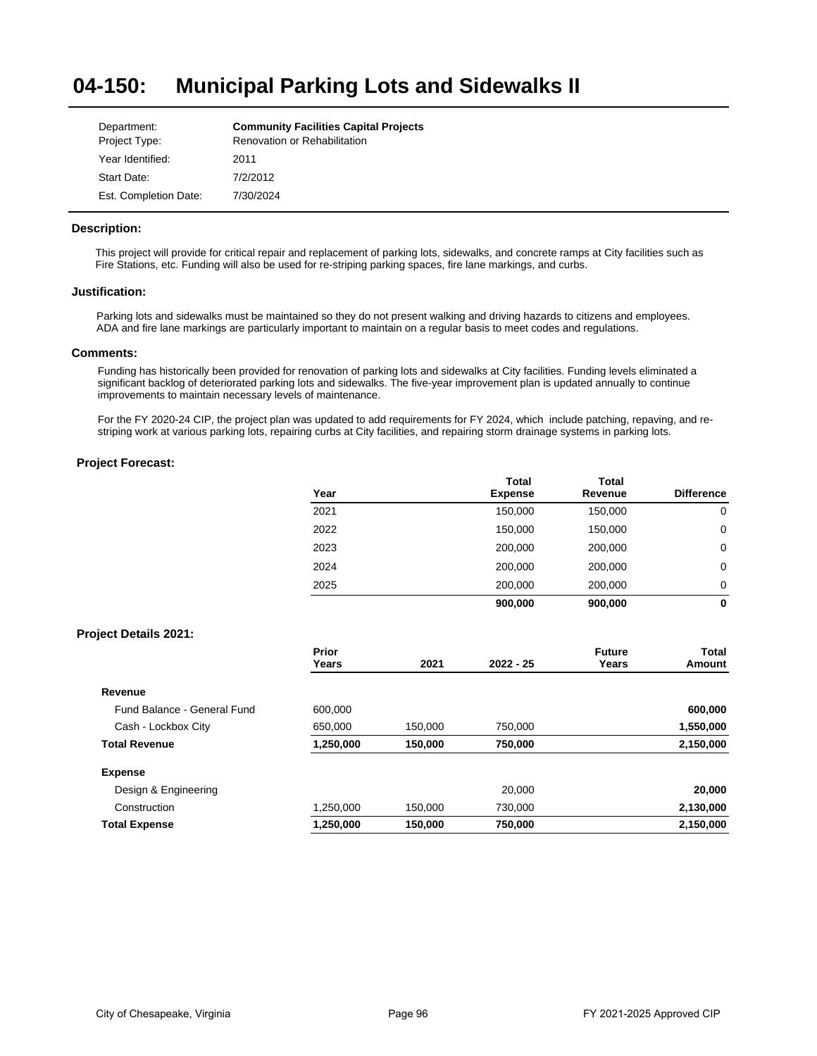#### **04-150: Municipal Parking Lots and Sidewalks II**

| Department:           | <b>Community Facilities Capital Projects</b> |
|-----------------------|----------------------------------------------|
| Project Type:         | Renovation or Rehabilitation                 |
| Year Identified:      | 2011                                         |
| Start Date:           | 7/2/2012                                     |
| Est. Completion Date: | 7/30/2024                                    |

# **Description:**

This project will provide for critical repair and replacement of parking lots, sidewalks, and concrete ramps at City facilities such as Fire Stations, etc. Funding will also be used for re-striping parking spaces, fire lane markings, and curbs.

#### **Justification:**

Parking lots and sidewalks must be maintained so they do not present walking and driving hazards to citizens and employees. ADA and fire lane markings are particularly important to maintain on a regular basis to meet codes and regulations.

## **Comments:**

Funding has historically been provided for renovation of parking lots and sidewalks at City facilities. Funding levels eliminated a significant backlog of deteriorated parking lots and sidewalks. The five-year improvement plan is updated annually to continue improvements to maintain necessary levels of maintenance.

For the FY 2020-24 CIP, the project plan was updated to add requirements for FY 2024, which include patching, repaving, and restriping work at various parking lots, repairing curbs at City facilities, and repairing storm drainage systems in parking lots.

# **Project Forecast:**

| Year | <b>Total</b><br><b>Expense</b> | <b>Total</b><br>Revenue | <b>Difference</b> |
|------|--------------------------------|-------------------------|-------------------|
| 2021 | 150,000                        | 150,000                 | 0                 |
| 2022 | 150,000                        | 150,000                 | 0                 |
| 2023 | 200,000                        | 200,000                 | 0                 |
| 2024 | 200,000                        | 200,000                 | 0                 |
| 2025 | 200.000                        | 200,000                 | 0                 |
|      | 900,000                        | 900,000                 | 0                 |

## **Project Details 2021:**

|                             | Prior<br>Years | 2021    | $2022 - 25$ | <b>Future</b><br>Years | Total<br>Amount |
|-----------------------------|----------------|---------|-------------|------------------------|-----------------|
| Revenue                     |                |         |             |                        |                 |
| Fund Balance - General Fund | 600.000        |         |             |                        | 600,000         |
| Cash - Lockbox City         | 650.000        | 150,000 | 750.000     |                        | 1,550,000       |
| <b>Total Revenue</b>        | 1,250,000      | 150,000 | 750,000     |                        | 2,150,000       |
| <b>Expense</b>              |                |         |             |                        |                 |
| Design & Engineering        |                |         | 20,000      |                        | 20,000          |
| Construction                | 1.250.000      | 150,000 | 730.000     |                        | 2,130,000       |
| <b>Total Expense</b>        | 1,250,000      | 150,000 | 750,000     |                        | 2,150,000       |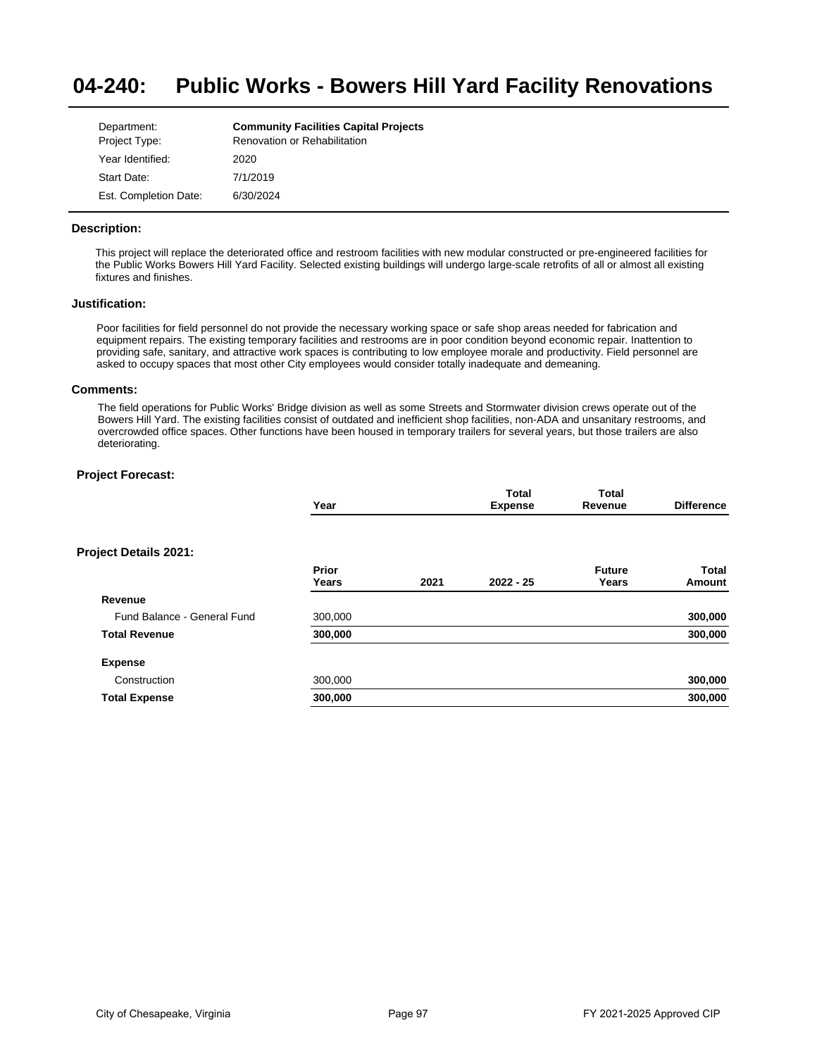#### **04-240: Public Works - Bowers Hill Yard Facility Renovations**

| Department:           | <b>Community Facilities Capital Projects</b> |
|-----------------------|----------------------------------------------|
| Project Type:         | Renovation or Rehabilitation                 |
| Year Identified:      | 2020                                         |
| Start Date:           | 7/1/2019                                     |
| Est. Completion Date: | 6/30/2024                                    |

# **Description:**

This project will replace the deteriorated office and restroom facilities with new modular constructed or pre-engineered facilities for the Public Works Bowers Hill Yard Facility. Selected existing buildings will undergo large-scale retrofits of all or almost all existing fixtures and finishes.

# **Justification:**

Poor facilities for field personnel do not provide the necessary working space or safe shop areas needed for fabrication and equipment repairs. The existing temporary facilities and restrooms are in poor condition beyond economic repair. Inattention to providing safe, sanitary, and attractive work spaces is contributing to low employee morale and productivity. Field personnel are asked to occupy spaces that most other City employees would consider totally inadequate and demeaning.

#### **Comments:**

The field operations for Public Works' Bridge division as well as some Streets and Stormwater division crews operate out of the Bowers Hill Yard. The existing facilities consist of outdated and inefficient shop facilities, non-ADA and unsanitary restrooms, and overcrowded office spaces. Other functions have been housed in temporary trailers for several years, but those trailers are also deteriorating.

|                             | Year                  |      | Total<br><b>Expense</b> | <b>Total</b><br>Revenue | <b>Difference</b> |
|-----------------------------|-----------------------|------|-------------------------|-------------------------|-------------------|
| Project Details 2021:       |                       |      |                         |                         |                   |
|                             | <b>Prior</b><br>Years | 2021 | $2022 - 25$             | <b>Future</b><br>Years  | Total<br>Amount   |
| Revenue                     |                       |      |                         |                         |                   |
| Fund Balance - General Fund | 300,000               |      |                         |                         | 300,000           |
| <b>Total Revenue</b>        | 300,000               |      |                         |                         | 300,000           |
| <b>Expense</b>              |                       |      |                         |                         |                   |
| Construction                | 300,000               |      |                         |                         | 300,000           |
| <b>Total Expense</b>        | 300,000               |      |                         |                         | 300,000           |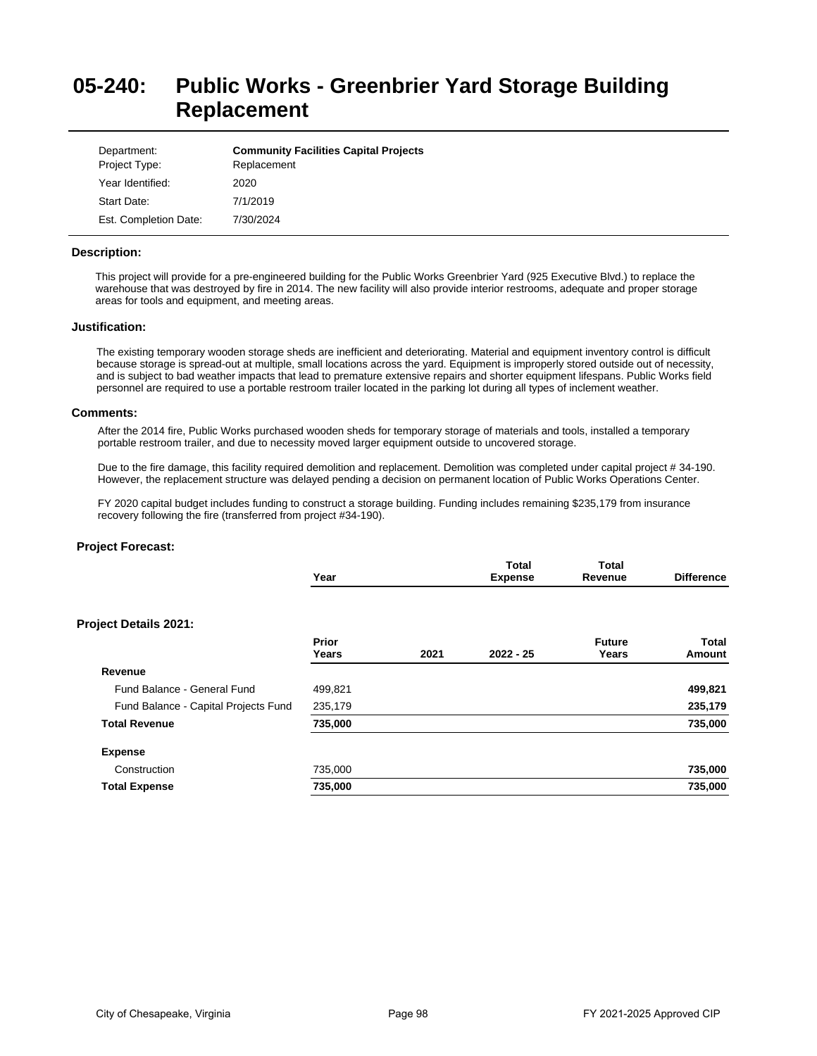# **05-240: Public Works - Greenbrier Yard Storage Building Replacement**

| Department:<br>Project Type: | <b>Community Facilities Capital Projects</b><br>Replacement |
|------------------------------|-------------------------------------------------------------|
| Year Identified:             | 2020                                                        |
| Start Date:                  | 7/1/2019                                                    |
| Est. Completion Date:        | 7/30/2024                                                   |

#### **Description:**

This project will provide for a pre-engineered building for the Public Works Greenbrier Yard (925 Executive Blvd.) to replace the warehouse that was destroyed by fire in 2014. The new facility will also provide interior restrooms, adequate and proper storage areas for tools and equipment, and meeting areas.

#### **Justification:**

The existing temporary wooden storage sheds are inefficient and deteriorating. Material and equipment inventory control is difficult because storage is spread-out at multiple, small locations across the yard. Equipment is improperly stored outside out of necessity, and is subject to bad weather impacts that lead to premature extensive repairs and shorter equipment lifespans. Public Works field personnel are required to use a portable restroom trailer located in the parking lot during all types of inclement weather.

#### **Comments:**

After the 2014 fire, Public Works purchased wooden sheds for temporary storage of materials and tools, installed a temporary portable restroom trailer, and due to necessity moved larger equipment outside to uncovered storage.

Due to the fire damage, this facility required demolition and replacement. Demolition was completed under capital project # 34-190. However, the replacement structure was delayed pending a decision on permanent location of Public Works Operations Center.

FY 2020 capital budget includes funding to construct a storage building. Funding includes remaining \$235,179 from insurance recovery following the fire (transferred from project #34-190).

| Year           |      | Total<br><b>Expense</b> | <b>Total</b><br>Revenue | <b>Difference</b> |
|----------------|------|-------------------------|-------------------------|-------------------|
|                |      |                         |                         |                   |
| Prior<br>Years | 2021 | $2022 - 25$             | <b>Future</b><br>Years  | Total<br>Amount   |
|                |      |                         |                         |                   |
| 499,821        |      |                         |                         | 499,821           |
| 235,179        |      |                         |                         | 235,179           |
| 735,000        |      |                         |                         | 735,000           |
|                |      |                         |                         |                   |
| 735,000        |      |                         |                         | 735,000           |
| 735,000        |      |                         |                         | 735,000           |
|                |      |                         |                         |                   |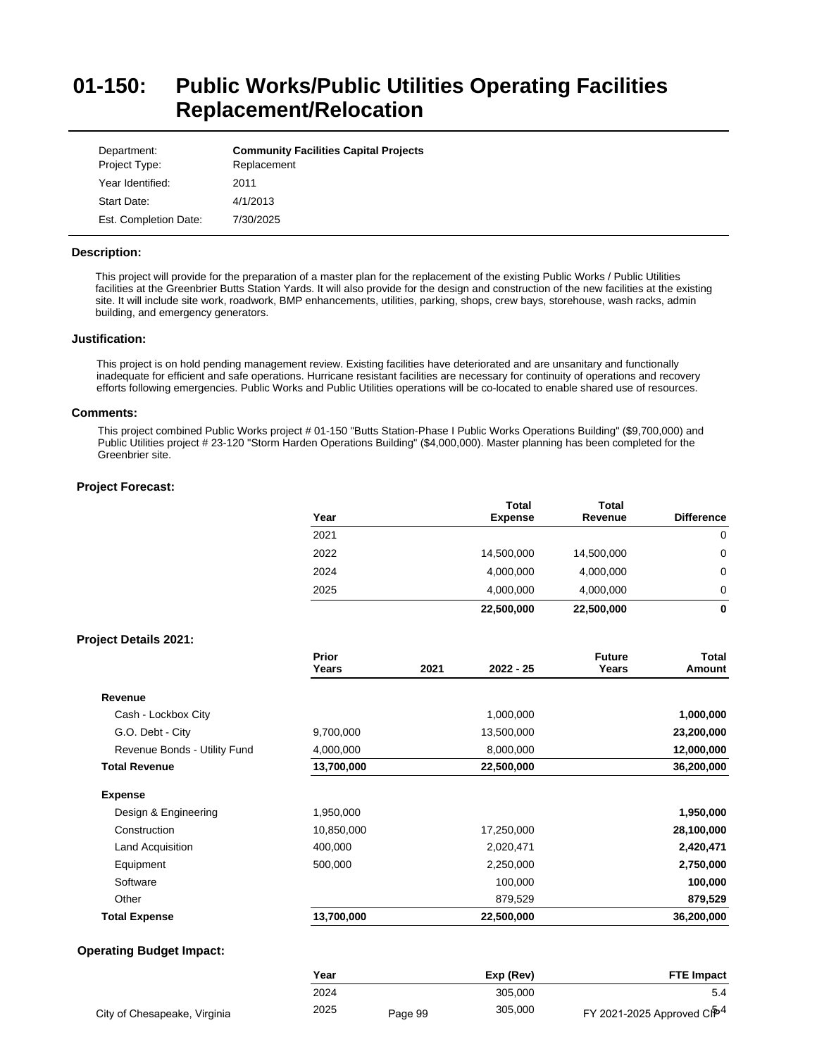# **01-150: Public Works/Public Utilities Operating Facilities Replacement/Relocation**

| Department:<br>Project Type: | <b>Community Facilities Capital Projects</b><br>Replacement |
|------------------------------|-------------------------------------------------------------|
| Year Identified:             | 2011                                                        |
| Start Date:                  | 4/1/2013                                                    |
| Est. Completion Date:        | 7/30/2025                                                   |

# **Description:**

This project will provide for the preparation of a master plan for the replacement of the existing Public Works / Public Utilities facilities at the Greenbrier Butts Station Yards. It will also provide for the design and construction of the new facilities at the existing site. It will include site work, roadwork, BMP enhancements, utilities, parking, shops, crew bays, storehouse, wash racks, admin building, and emergency generators.

#### **Justification:**

This project is on hold pending management review. Existing facilities have deteriorated and are unsanitary and functionally inadequate for efficient and safe operations. Hurricane resistant facilities are necessary for continuity of operations and recovery efforts following emergencies. Public Works and Public Utilities operations will be co-located to enable shared use of resources.

#### **Comments:**

This project combined Public Works project # 01-150 "Butts Station-Phase I Public Works Operations Building" (\$9,700,000) and Public Utilities project # 23-120 "Storm Harden Operations Building" (\$4,000,000). Master planning has been completed for the Greenbrier site.

|                              | Year           |      | <b>Total</b><br><b>Expense</b> | <b>Total</b><br>Revenue | <b>Difference</b>      |
|------------------------------|----------------|------|--------------------------------|-------------------------|------------------------|
|                              | 2021           |      |                                |                         | 0                      |
|                              | 2022           |      | 14,500,000                     | 14,500,000              | 0                      |
|                              | 2024           |      | 4,000,000                      | 4,000,000               | 0                      |
|                              | 2025           |      | 4,000,000                      | 4,000,000               | 0                      |
|                              |                |      | 22,500,000                     | 22,500,000              | $\mathbf 0$            |
| <b>Project Details 2021:</b> |                |      |                                |                         |                        |
|                              | Prior<br>Years | 2021 | $2022 - 25$                    | <b>Future</b><br>Years  | <b>Total</b><br>Amount |
| Revenue                      |                |      |                                |                         |                        |
| Cash - Lockbox City          |                |      | 1,000,000                      |                         | 1,000,000              |
| G.O. Debt - City             | 9,700,000      |      | 13,500,000                     |                         | 23,200,000             |
| Revenue Bonds - Utility Fund | 4,000,000      |      | 8,000,000                      |                         | 12,000,000             |
| <b>Total Revenue</b>         | 13,700,000     |      | 22,500,000                     |                         | 36,200,000             |
| <b>Expense</b>               |                |      |                                |                         |                        |
| Design & Engineering         | 1,950,000      |      |                                |                         | 1,950,000              |
| Construction                 | 10,850,000     |      | 17,250,000                     |                         | 28,100,000             |
| Land Acquisition             | 400,000        |      | 2,020,471                      |                         | 2,420,471              |
| Equipment                    | 500,000        |      | 2,250,000                      |                         | 2,750,000              |
| Software                     |                |      | 100,000                        |                         | 100,000                |
| Other                        |                |      | 879,529                        |                         | 879,529                |
| <b>Total Expense</b>         | 13,700,000     |      | 22,500,000                     |                         | 36,200,000             |

|                              | Year |         | Exp (Rev) | <b>FTE Impact</b>                             |
|------------------------------|------|---------|-----------|-----------------------------------------------|
|                              | 2024 |         | 305.000   |                                               |
| City of Chesapeake, Virginia | 2025 | Page 99 | 305.000   | FY 2021-2025 Approved C <b>i<sup>p4</sup></b> |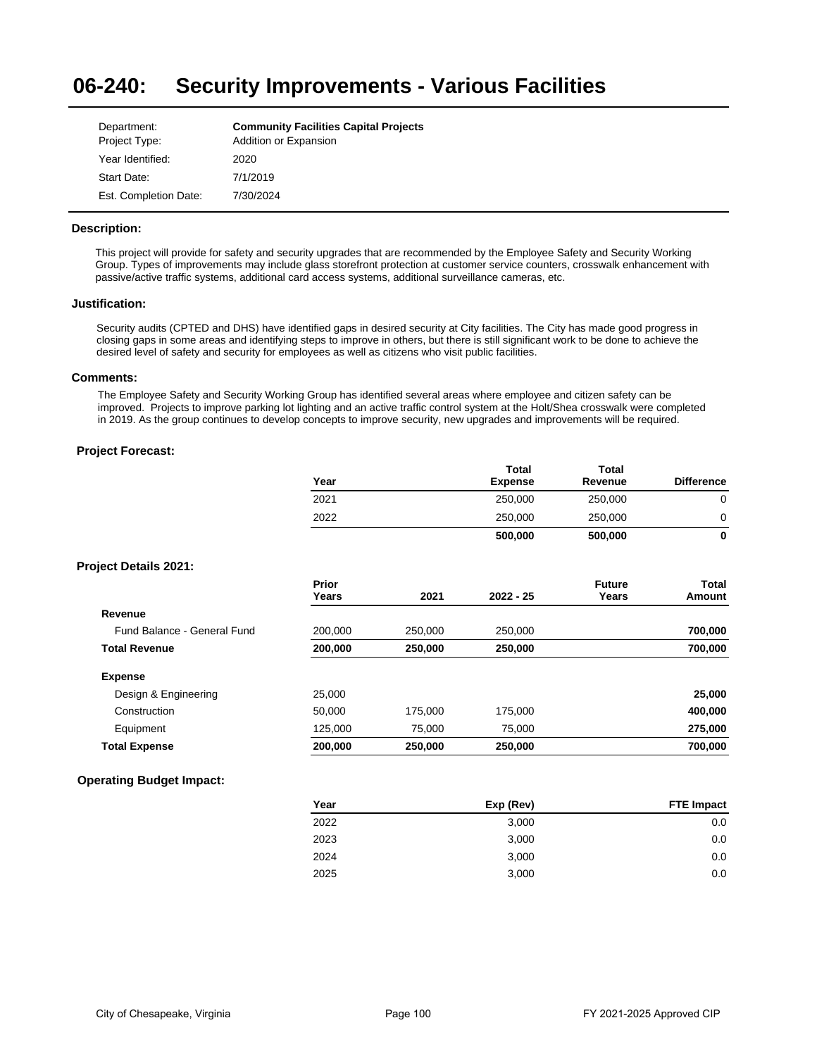#### **06-240: Security Improvements - Various Facilities**

| Department:           | <b>Community Facilities Capital Projects</b> |
|-----------------------|----------------------------------------------|
| Project Type:         | Addition or Expansion                        |
| Year Identified:      | 2020                                         |
| Start Date:           | 7/1/2019                                     |
| Est. Completion Date: | 7/30/2024                                    |

# **Description:**

This project will provide for safety and security upgrades that are recommended by the Employee Safety and Security Working Group. Types of improvements may include glass storefront protection at customer service counters, crosswalk enhancement with passive/active traffic systems, additional card access systems, additional surveillance cameras, etc.

## **Justification:**

Security audits (CPTED and DHS) have identified gaps in desired security at City facilities. The City has made good progress in closing gaps in some areas and identifying steps to improve in others, but there is still significant work to be done to achieve the desired level of safety and security for employees as well as citizens who visit public facilities.

## **Comments:**

The Employee Safety and Security Working Group has identified several areas where employee and citizen safety can be improved. Projects to improve parking lot lighting and an active traffic control system at the Holt/Shea crosswalk were completed in 2019. As the group continues to develop concepts to improve security, new upgrades and improvements will be required.

# **Project Forecast:**

|                              | Year           |         | <b>ι</b> οται<br><b>Expense</b> | ι οται<br>Revenue      | <b>Difference</b> |
|------------------------------|----------------|---------|---------------------------------|------------------------|-------------------|
|                              | 2021           |         | 250,000                         | 250,000                | $\mathbf 0$       |
|                              | 2022           |         | 250,000                         | 250,000                | 0                 |
|                              |                |         | 500,000                         | 500,000                | 0                 |
| <b>Project Details 2021:</b> |                |         |                                 |                        |                   |
|                              | Prior<br>Years | 2021    | $2022 - 25$                     | <b>Future</b><br>Years | Total<br>Amount   |
| Revenue                      |                |         |                                 |                        |                   |
| Fund Balance - General Fund  | 200,000        | 250,000 | 250,000                         |                        | 700,000           |
| <b>Total Revenue</b>         | 200,000        | 250,000 | 250,000                         |                        | 700,000           |
| <b>Expense</b>               |                |         |                                 |                        |                   |
| Design & Engineering         | 25,000         |         |                                 |                        | 25,000            |
| Construction                 | 50,000         | 175,000 | 175,000                         |                        | 400,000           |
| Equipment                    | 125,000        | 75,000  | 75,000                          |                        | 275,000           |
| <b>Total Expense</b>         | 200,000        | 250,000 | 250,000                         |                        | 700,000           |
|                              |                |         |                                 |                        |                   |

# **Operating Budget Impact:**

| Year | Exp (Rev) | <b>FTE Impact</b> |
|------|-----------|-------------------|
| 2022 | 3,000     | 0.0               |
| 2023 | 3,000     | 0.0               |
| 2024 | 3,000     | 0.0               |
| 2025 | 3,000     | 0.0               |

**Total** 

**Total**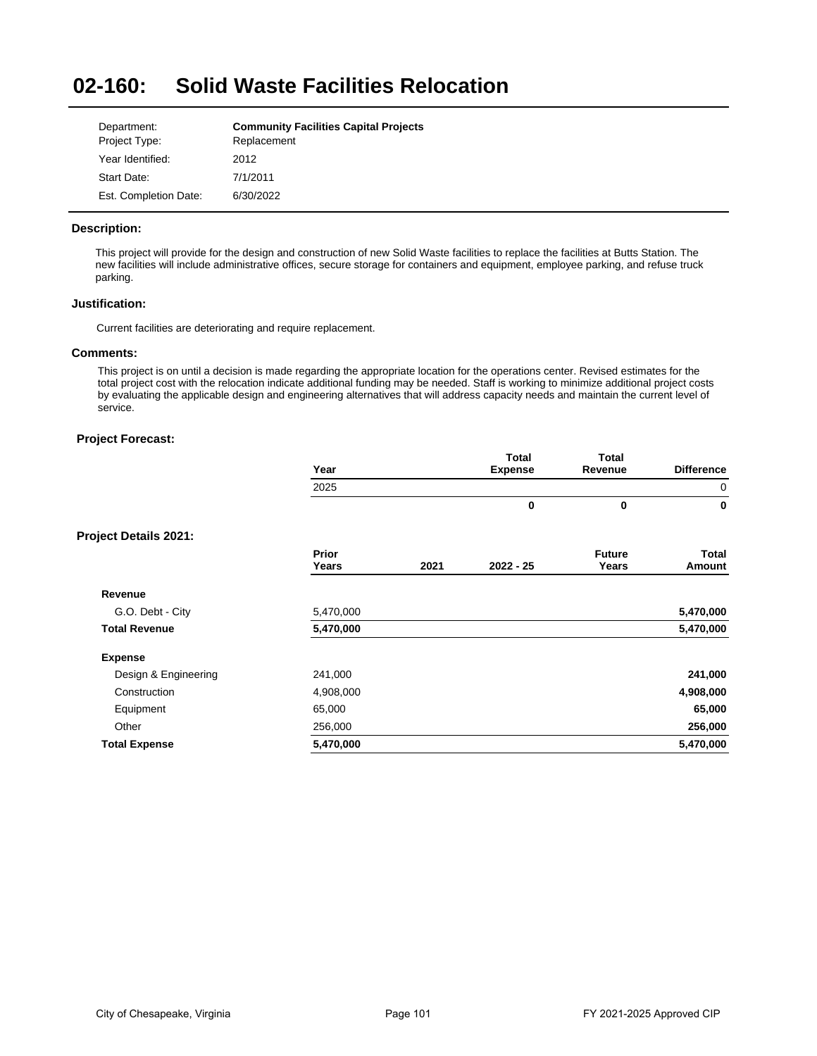#### **02-160: Solid Waste Facilities Relocation**

| Department:           | <b>Community Facilities Capital Projects</b> |
|-----------------------|----------------------------------------------|
| Project Type:         | Replacement                                  |
| Year Identified:      | 2012                                         |
| Start Date:           | 7/1/2011                                     |
| Est. Completion Date: | 6/30/2022                                    |

# **Description:**

This project will provide for the design and construction of new Solid Waste facilities to replace the facilities at Butts Station. The new facilities will include administrative offices, secure storage for containers and equipment, employee parking, and refuse truck parking.

# **Justification:**

Current facilities are deteriorating and require replacement.

# **Comments:**

This project is on until a decision is made regarding the appropriate location for the operations center. Revised estimates for the total project cost with the relocation indicate additional funding may be needed. Staff is working to minimize additional project costs by evaluating the applicable design and engineering alternatives that will address capacity needs and maintain the current level of service.

| <b>Total</b>           | <b>Total</b> |                |                       |                              |
|------------------------|--------------|----------------|-----------------------|------------------------------|
|                        |              |                |                       |                              |
| 0                      | 0            |                |                       |                              |
|                        |              |                |                       | <b>Project Details 2021:</b> |
| <b>Future</b><br>Years | $2022 - 25$  | 2021           | <b>Prior</b><br>Years |                              |
|                        |              |                |                       | Revenue                      |
|                        |              |                | 5,470,000             | G.O. Debt - City             |
|                        |              |                | 5,470,000             | <b>Total Revenue</b>         |
|                        |              |                |                       | <b>Expense</b>               |
|                        |              |                | 241,000               | Design & Engineering         |
|                        |              |                | 4,908,000             | Construction                 |
|                        |              |                | 65,000                | Equipment                    |
|                        |              |                | 256,000               | Other                        |
|                        |              |                | 5,470,000             | <b>Total Expense</b>         |
|                        | Revenue      | <b>Expense</b> |                       | Year<br>2025                 |